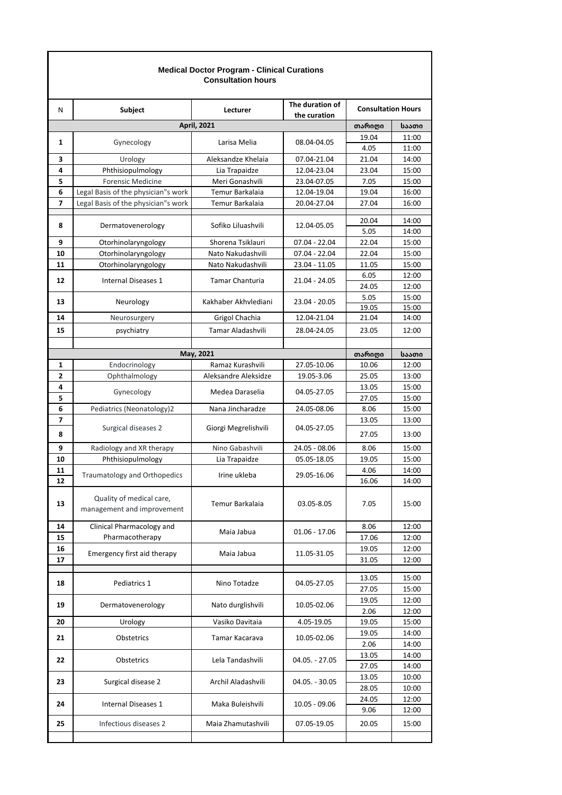| <b>Medical Doctor Program - Clinical Curations</b><br><b>Consultation hours</b> |                                                        |                        |                                 |                           |                |  |  |  |
|---------------------------------------------------------------------------------|--------------------------------------------------------|------------------------|---------------------------------|---------------------------|----------------|--|--|--|
| N                                                                               | Subject                                                | Lecturer               | The duration of<br>the curation | <b>Consultation Hours</b> |                |  |  |  |
|                                                                                 |                                                        | <b>April, 2021</b>     |                                 | თარიღი                    | საათი          |  |  |  |
| 1                                                                               | Gynecology                                             | Larisa Melia           | 08.04-04.05                     | 19.04<br>4.05             | 11:00<br>11:00 |  |  |  |
| 3                                                                               | Urology                                                | Aleksandze Khelaia     | 07.04-21.04                     | 21.04                     | 14:00          |  |  |  |
| 4                                                                               | Phthisiopulmology                                      | Lia Trapaidze          | 12.04-23.04                     | 23.04                     | 15:00          |  |  |  |
| 5                                                                               | <b>Forensic Medicine</b>                               | Meri Gonashvili        | 23.04-07.05                     | 7.05                      | 15:00          |  |  |  |
| 6                                                                               | Legal Basis of the physician"s work                    | Temur Barkalaia        | 12.04-19.04                     | 19.04                     | 16:00          |  |  |  |
| 7                                                                               | Legal Basis of the physician"s work                    | Temur Barkalaia        | 20.04-27.04                     | 27.04                     | 16:00          |  |  |  |
|                                                                                 |                                                        |                        |                                 |                           |                |  |  |  |
| 8                                                                               | Dermatovenerology                                      | Sofiko Liluashvili     | 12.04-05.05                     | 20.04<br>5.05             | 14:00<br>14:00 |  |  |  |
| 9                                                                               | Otorhinolaryngology                                    | Shorena Tsiklauri      | 07.04 - 22.04                   | 22.04                     | 15:00          |  |  |  |
| 10                                                                              | Otorhinolaryngology                                    | Nato Nakudashvili      | 07.04 - 22.04                   | 22.04                     | 15:00          |  |  |  |
| 11                                                                              | Otorhinolaryngology                                    | Nato Nakudashvili      | 23.04 - 11.05                   | 11.05                     | 15:00          |  |  |  |
| 12                                                                              | Internal Diseases 1                                    | <b>Tamar Chanturia</b> | 21.04 - 24.05                   | 6.05                      | 12:00          |  |  |  |
|                                                                                 |                                                        |                        |                                 | 24.05                     | 12:00          |  |  |  |
| 13                                                                              | Neurology                                              | Kakhaber Akhvlediani   | 23.04 - 20.05                   | 5.05                      | 15:00          |  |  |  |
|                                                                                 |                                                        |                        |                                 | 19.05                     | 15:00          |  |  |  |
| 14                                                                              | Neurosurgery                                           | Grigol Chachia         | 12.04-21.04                     | 21.04                     | 14:00          |  |  |  |
| 15                                                                              | psychiatry                                             | Tamar Aladashvili      | 28.04-24.05                     | 23.05                     | 12:00          |  |  |  |
|                                                                                 |                                                        |                        |                                 |                           |                |  |  |  |
|                                                                                 |                                                        | May, 2021              |                                 | თარიღი                    | საათი          |  |  |  |
| 1                                                                               | Endocrinology                                          | Ramaz Kurashvili       | 27.05-10.06                     | 10.06                     | 12:00          |  |  |  |
| 2                                                                               | Ophthalmology                                          | Aleksandre Aleksidze   | 19.05-3.06                      | 25.05                     | 13:00          |  |  |  |
| 4                                                                               | Gynecology                                             | Medea Daraselia        | 04.05-27.05                     | 13.05                     | 15:00          |  |  |  |
| 5                                                                               |                                                        |                        |                                 | 27.05                     | 15:00          |  |  |  |
| 6                                                                               | Pediatrics (Neonatology)2                              | Nana Jincharadze       | 24.05-08.06                     | 8.06                      | 15:00          |  |  |  |
| 7                                                                               | Surgical diseases 2                                    | Giorgi Megrelishvili   | 04.05-27.05                     | 13.05                     | 13:00          |  |  |  |
| 8                                                                               |                                                        |                        |                                 | 27.05                     | 13:00          |  |  |  |
| 9                                                                               | Radiology and XR therapy                               | Nino Gabashvili        | 24.05 - 08.06                   | 8.06                      | 15:00          |  |  |  |
| 10                                                                              | Phthisiopulmology                                      | Lia Trapaidze          | 05.05-18.05                     | 19.05                     | 15:00          |  |  |  |
| 11                                                                              | <b>Traumatology and Orthopedics</b>                    | Irine ukleba           | 29.05-16.06                     | 4.06                      | 14:00          |  |  |  |
| 12                                                                              |                                                        |                        |                                 | 16.06                     | 14:00          |  |  |  |
| 13                                                                              | Quality of medical care,<br>management and improvement | Temur Barkalaia        | 03.05-8.05                      | 7.05                      | 15:00          |  |  |  |
| 14                                                                              | Clinical Pharmacology and                              | Maia Jabua             | 01.06 - 17.06                   | 8.06                      | 12:00          |  |  |  |
| 15                                                                              | Pharmacotherapy                                        |                        |                                 | 17.06                     | 12:00          |  |  |  |
| 16                                                                              | Emergency first aid therapy                            | Maia Jabua             | 11.05-31.05                     | 19.05                     | 12:00          |  |  |  |
| 17                                                                              |                                                        |                        |                                 | 31.05                     | 12:00          |  |  |  |
| 18                                                                              | Pediatrics 1                                           | Nino Totadze           | 04.05-27.05                     | 13.05                     | 15:00          |  |  |  |
|                                                                                 |                                                        |                        |                                 | 27.05                     | 15:00          |  |  |  |
| 19                                                                              | Dermatovenerology                                      | Nato durglishvili      | 10.05-02.06                     | 19.05                     | 12:00          |  |  |  |
|                                                                                 |                                                        |                        |                                 | 2.06                      | 12:00          |  |  |  |
| 20                                                                              | Urology                                                | Vasiko Davitaia        | 4.05-19.05                      | 19.05                     | 15:00          |  |  |  |
| 21                                                                              | Obstetrics                                             | Tamar Kacarava         | 10.05-02.06                     | 19.05                     | 14:00          |  |  |  |
|                                                                                 |                                                        |                        |                                 | 2.06                      | 14:00          |  |  |  |
| 22                                                                              | Obstetrics                                             | Lela Tandashvili       | 04.05. - 27.05                  | 13.05                     | 14:00          |  |  |  |
|                                                                                 |                                                        |                        |                                 | 27.05                     | 14:00          |  |  |  |
| 23                                                                              | Surgical disease 2                                     | Archil Aladashvili     | 04.05. - 30.05                  | 13.05                     | 10:00          |  |  |  |
|                                                                                 |                                                        |                        |                                 | 28.05                     | 10:00          |  |  |  |
| 24                                                                              | Internal Diseases 1                                    | Maka Buleishvili       | 10.05 - 09.06                   | 24.05<br>9.06             | 12:00<br>12:00 |  |  |  |
|                                                                                 |                                                        |                        |                                 |                           |                |  |  |  |
| 25                                                                              | Infectious diseases 2                                  | Maia Zhamutashvili     | 07.05-19.05                     | 20.05                     | 15:00          |  |  |  |
|                                                                                 |                                                        |                        |                                 |                           |                |  |  |  |